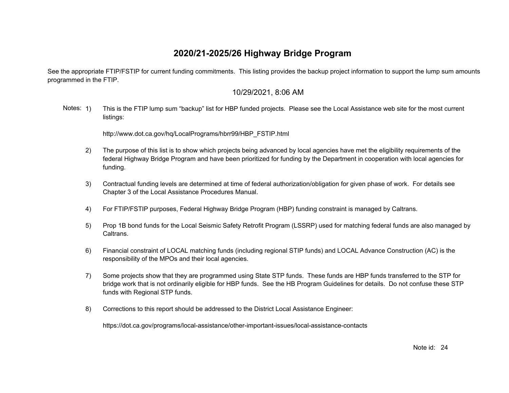See the appropriate FTIP/FSTIP for current funding commitments. This listing provides the backup project information to support the lump sum amounts programmed in the FTIP.

#### 10/29/2021, 8:06 AM

Notes: 1) This is the FTIP lump sum "backup" list for HBP funded projects. Please see the Local Assistance web site for the most current listings:

[http://www.dot.ca.gov/hq/LocalPrograms/hbrr99/HBP\\_FSTIP.html](http://www.dot.ca.gov/hq/LocalPrograms/hbrr99/HBP_FSTIP.html)

- 2) The purpose of this list is to show which projects being advanced by local agencies have met the eligibility requirements of the federal Highway Bridge Program and have been prioritized for funding by the Department in cooperation with local agencies for funding.
- 3) Contractual funding levels are determined at time of federal authorization/obligation for given phase of work. For details see Chapter 3 of the Local Assistance Procedures Manual.
- 4) For FTIP/FSTIP purposes, Federal Highway Bridge Program (HBP) funding constraint is managed by Caltrans.
- 5) Prop 1B bond funds for the Local Seismic Safety Retrofit Program (LSSRP) used for matching federal funds are also managed by Caltrans.
- 6) Financial constraint of LOCAL matching funds (including regional STIP funds) and LOCAL Advance Construction (AC) is the responsibility of the MPOs and their local agencies.
- 7) Some projects show that they are programmed using State STP funds. These funds are HBP funds transferred to the STP for bridge work that is not ordinarily eligible for HBP funds. See the HB Program Guidelines for details. Do not confuse these STP funds with Regional STP funds.
- 8) Corrections to this report should be addressed to the District Local Assistance Engineer:

<https://dot.ca.gov/programs/local-assistance/other-important-issues/local-assistance-contacts>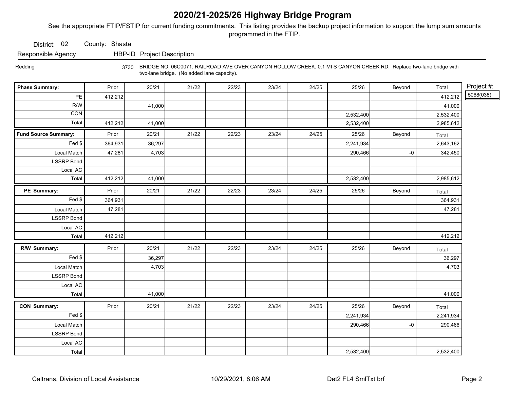See the appropriate FTIP/FSTIP for current funding commitments. This listing provides the backup project information to support the lump sum amounts programmed in the FTIP.

District: 02 County: Shasta

Responsible Agency HBP-ID Project Description

 Redding 3730 BRIDGE NO. 06C0071, RAILROAD AVE OVER CANYON HOLLOW CREEK, 0.1 MI S CANYON CREEK RD. Replace two-lane bridge with two-lane bridge. (No added lane capacity).

| <b>Phase Summary:</b>       | Prior   | 20/21  | 21/22 | 22/23 | 23/24 | 24/25 | 25/26     | Beyond | Total     | Project #: |
|-----------------------------|---------|--------|-------|-------|-------|-------|-----------|--------|-----------|------------|
| $\mathsf{PE}$               | 412,212 |        |       |       |       |       |           |        | 412,212   | 5068(038)  |
| R/W                         |         | 41,000 |       |       |       |       |           |        | 41,000    |            |
| CON                         |         |        |       |       |       |       | 2,532,400 |        | 2,532,400 |            |
| Total                       | 412,212 | 41,000 |       |       |       |       | 2,532,400 |        | 2,985,612 |            |
| <b>Fund Source Summary:</b> | Prior   | 20/21  | 21/22 | 22/23 | 23/24 | 24/25 | 25/26     | Beyond | Total     |            |
| Fed \$                      | 364,931 | 36,297 |       |       |       |       | 2,241,934 |        | 2,643,162 |            |
| Local Match                 | 47,281  | 4,703  |       |       |       |       | 290,466   | -0     | 342,450   |            |
| <b>LSSRP Bond</b>           |         |        |       |       |       |       |           |        |           |            |
| Local AC                    |         |        |       |       |       |       |           |        |           |            |
| Total                       | 412,212 | 41,000 |       |       |       |       | 2,532,400 |        | 2,985,612 |            |
| PE Summary:                 | Prior   | 20/21  | 21/22 | 22/23 | 23/24 | 24/25 | 25/26     | Beyond | Total     |            |
| $\overline{F}$ ed \$        | 364,931 |        |       |       |       |       |           |        | 364,931   |            |
| Local Match                 | 47,281  |        |       |       |       |       |           |        | 47,281    |            |
| <b>LSSRP Bond</b>           |         |        |       |       |       |       |           |        |           |            |
| Local AC                    |         |        |       |       |       |       |           |        |           |            |
| Total                       | 412,212 |        |       |       |       |       |           |        | 412,212   |            |
| R/W Summary:                | Prior   | 20/21  | 21/22 | 22/23 | 23/24 | 24/25 | 25/26     | Beyond | Total     |            |
| Fed                         |         | 36,297 |       |       |       |       |           |        | 36,297    |            |
| Local Match                 |         | 4,703  |       |       |       |       |           |        | 4,703     |            |
| <b>LSSRP Bond</b>           |         |        |       |       |       |       |           |        |           |            |
| Local AC                    |         |        |       |       |       |       |           |        |           |            |
| Total                       |         | 41,000 |       |       |       |       |           |        | 41,000    |            |
| <b>CON Summary:</b>         | Prior   | 20/21  | 21/22 | 22/23 | 23/24 | 24/25 | 25/26     | Beyond | Total     |            |
| Fed                         |         |        |       |       |       |       | 2,241,934 |        | 2,241,934 |            |
| Local Match                 |         |        |       |       |       |       | 290,466   | -0     | 290,466   |            |
| <b>LSSRP Bond</b>           |         |        |       |       |       |       |           |        |           |            |
| Local AC                    |         |        |       |       |       |       |           |        |           |            |
| Total                       |         |        |       |       |       |       | 2,532,400 |        | 2,532,400 |            |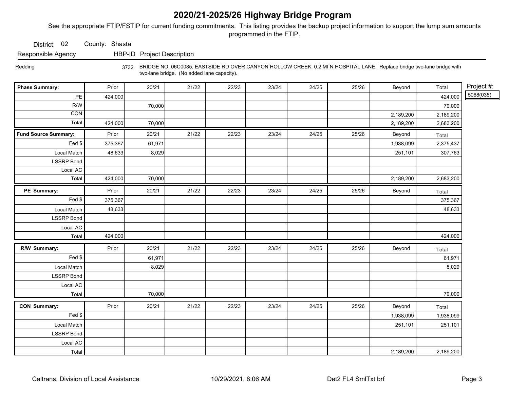See the appropriate FTIP/FSTIP for current funding commitments. This listing provides the backup project information to support the lump sum amounts programmed in the FTIP.

District: 02 County: Shasta

Responsible Agency HBP-ID Project Description

 Redding 3732 BRIDGE NO. 06C0085, EASTSIDE RD OVER CANYON HOLLOW CREEK, 0.2 MI N HOSPITAL LANE. Replace bridge two-lane bridge with two-lane bridge. (No added lane capacity).

| <b>Phase Summary:</b>       | Prior   | 20/21  | 21/22 | 22/23 | 23/24 | 24/25 | 25/26 | Beyond    | Total     | Project #: |
|-----------------------------|---------|--------|-------|-------|-------|-------|-------|-----------|-----------|------------|
| $PE$                        | 424,000 |        |       |       |       |       |       |           | 424,000   | 5068(035)  |
| R/W                         |         | 70,000 |       |       |       |       |       |           | 70,000    |            |
| CON                         |         |        |       |       |       |       |       | 2,189,200 | 2,189,200 |            |
| Total <sup>'</sup>          | 424,000 | 70,000 |       |       |       |       |       | 2,189,200 | 2,683,200 |            |
| <b>Fund Source Summary:</b> | Prior   | 20/21  | 21/22 | 22/23 | 23/24 | 24/25 | 25/26 | Beyond    | Total     |            |
| Fed \$                      | 375,367 | 61,971 |       |       |       |       |       | 1,938,099 | 2,375,437 |            |
| Local Match                 | 48,633  | 8,029  |       |       |       |       |       | 251,101   | 307,763   |            |
| <b>LSSRP Bond</b>           |         |        |       |       |       |       |       |           |           |            |
| Local AC                    |         |        |       |       |       |       |       |           |           |            |
| Total                       | 424,000 | 70,000 |       |       |       |       |       | 2,189,200 | 2,683,200 |            |
| PE Summary:                 | Prior   | 20/21  | 21/22 | 22/23 | 23/24 | 24/25 | 25/26 | Beyond    | Total     |            |
| $Fed$ \$                    | 375,367 |        |       |       |       |       |       |           | 375,367   |            |
| Local Match                 | 48,633  |        |       |       |       |       |       |           | 48,633    |            |
| LSSRP Bond                  |         |        |       |       |       |       |       |           |           |            |
| Local AC                    |         |        |       |       |       |       |       |           |           |            |
| Total                       | 424,000 |        |       |       |       |       |       |           | 424,000   |            |
| R/W Summary:                | Prior   | 20/21  | 21/22 | 22/23 | 23/24 | 24/25 | 25/26 | Beyond    | Total     |            |
| Fed                         |         | 61,971 |       |       |       |       |       |           | 61,971    |            |
| Local Match                 |         | 8,029  |       |       |       |       |       |           | 8,029     |            |
| LSSRP Bond                  |         |        |       |       |       |       |       |           |           |            |
| Local AC                    |         |        |       |       |       |       |       |           |           |            |
| Total                       |         | 70,000 |       |       |       |       |       |           | 70,000    |            |
| <b>CON Summary:</b>         | Prior   | 20/21  | 21/22 | 22/23 | 23/24 | 24/25 | 25/26 | Beyond    | Total     |            |
| Fed $\frac{1}{2}$           |         |        |       |       |       |       |       | 1,938,099 | 1,938,099 |            |
| Local Match                 |         |        |       |       |       |       |       | 251,101   | 251,101   |            |
| <b>LSSRP</b> Bond           |         |        |       |       |       |       |       |           |           |            |
| Local AC                    |         |        |       |       |       |       |       |           |           |            |
| Total                       |         |        |       |       |       |       |       | 2,189,200 | 2,189,200 |            |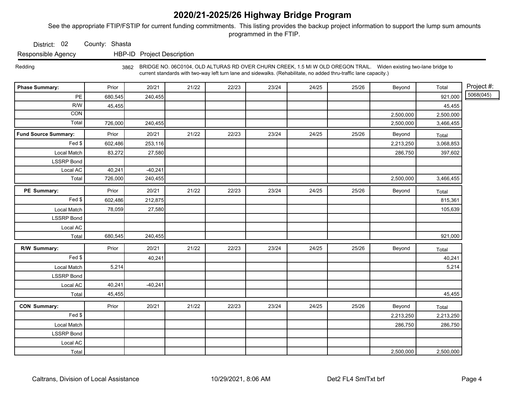See the appropriate FTIP/FSTIP for current funding commitments. This listing provides the backup project information to support the lump sum amounts programmed in the FTIP.

District: 02 County: Shasta

Responsible Agency HBP-ID Project Description

 Redding 3862 BRIDGE NO. 06C0104, OLD ALTURAS RD OVER CHURN CREEK, 1.5 MI W OLD OREGON TRAIL. Widen existing two-lane bridge to current standards with two-way left turn lane and sidewalks. (Rehabilitate, no added thru-traffic lane capacity.)

| <b>Phase Summary:</b>       | Prior   | 20/21     | 21/22 | 22/23 | 23/24 | 24/25 | 25/26 | Beyond    | Total     | Project #: |
|-----------------------------|---------|-----------|-------|-------|-------|-------|-------|-----------|-----------|------------|
| PE                          | 680,545 | 240,455   |       |       |       |       |       |           | 921,000   | 5068(045)  |
| R/W                         | 45,455  |           |       |       |       |       |       |           | 45,455    |            |
| CON                         |         |           |       |       |       |       |       | 2,500,000 | 2,500,000 |            |
| Total                       | 726,000 | 240,455   |       |       |       |       |       | 2,500,000 | 3,466,455 |            |
| <b>Fund Source Summary:</b> | Prior   | 20/21     | 21/22 | 22/23 | 23/24 | 24/25 | 25/26 | Beyond    | Total     |            |
| Fed \$                      | 602,486 | 253,116   |       |       |       |       |       | 2,213,250 | 3,068,853 |            |
| Local Match                 | 83,272  | 27,580    |       |       |       |       |       | 286,750   | 397,602   |            |
| <b>LSSRP Bond</b>           |         |           |       |       |       |       |       |           |           |            |
| Local AC                    | 40,241  | $-40,241$ |       |       |       |       |       |           |           |            |
| Total                       | 726,000 | 240,455   |       |       |       |       |       | 2,500,000 | 3,466,455 |            |
| PE Summary:                 | Prior   | 20/21     | 21/22 | 22/23 | 23/24 | 24/25 | 25/26 | Beyond    | Total     |            |
| Fed \$                      | 602,486 | 212,875   |       |       |       |       |       |           | 815,361   |            |
| Local Match                 | 78,059  | 27,580    |       |       |       |       |       |           | 105,639   |            |
| <b>LSSRP Bond</b>           |         |           |       |       |       |       |       |           |           |            |
| Local AC                    |         |           |       |       |       |       |       |           |           |            |
| Total                       | 680,545 | 240,455   |       |       |       |       |       |           | 921,000   |            |
| R/W Summary:                | Prior   | 20/21     | 21/22 | 22/23 | 23/24 | 24/25 | 25/26 | Beyond    | Total     |            |
| Fed \$                      |         | 40,241    |       |       |       |       |       |           | 40,241    |            |
| Local Match                 | 5,214   |           |       |       |       |       |       |           | 5,214     |            |
| <b>LSSRP Bond</b>           |         |           |       |       |       |       |       |           |           |            |
| Local AC                    | 40,241  | $-40,241$ |       |       |       |       |       |           |           |            |
| Total                       | 45,455  |           |       |       |       |       |       |           | 45,455    |            |
| <b>CON Summary:</b>         | Prior   | 20/21     | 21/22 | 22/23 | 23/24 | 24/25 | 25/26 | Beyond    | Total     |            |
| Fed \$                      |         |           |       |       |       |       |       | 2,213,250 | 2,213,250 |            |
| Local Match                 |         |           |       |       |       |       |       | 286,750   | 286,750   |            |
| <b>LSSRP Bond</b>           |         |           |       |       |       |       |       |           |           |            |
| Local AC                    |         |           |       |       |       |       |       |           |           |            |
| Total                       |         |           |       |       |       |       |       | 2,500,000 | 2,500,000 |            |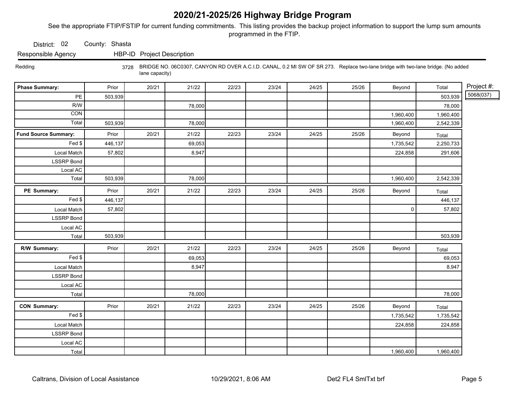See the appropriate FTIP/FSTIP for current funding commitments. This listing provides the backup project information to support the lump sum amounts programmed in the FTIP.

District: 02 County: Shasta

Responsible Agency HBP-ID Project Description

 Redding 3728 BRIDGE NO. 06C0307, CANYON RD OVER A.C.I.D. CANAL, 0.2 MI SW OF SR 273. Replace two-lane bridge with two-lane bridge. (No added lane capacity)

| <b>Phase Summary:</b>       | Prior   | 20/21 | 21/22  | 22/23 | 23/24 | 24/25 | 25/26 | Beyond      | Total     | Project #: |
|-----------------------------|---------|-------|--------|-------|-------|-------|-------|-------------|-----------|------------|
| PE                          | 503,939 |       |        |       |       |       |       |             | 503,939   | 5068(037)  |
| R/W                         |         |       | 78,000 |       |       |       |       |             | 78,000    |            |
| CON                         |         |       |        |       |       |       |       | 1,960,400   | 1,960,400 |            |
| Total                       | 503,939 |       | 78,000 |       |       |       |       | 1,960,400   | 2,542,339 |            |
| <b>Fund Source Summary:</b> | Prior   | 20/21 | 21/22  | 22/23 | 23/24 | 24/25 | 25/26 | Beyond      | Total     |            |
| Fed \$                      | 446,137 |       | 69,053 |       |       |       |       | 1,735,542   | 2,250,733 |            |
| Local Match                 | 57,802  |       | 8,947  |       |       |       |       | 224,858     | 291,606   |            |
| <b>LSSRP Bond</b>           |         |       |        |       |       |       |       |             |           |            |
| Local AC                    |         |       |        |       |       |       |       |             |           |            |
| Total                       | 503,939 |       | 78,000 |       |       |       |       | 1,960,400   | 2,542,339 |            |
| PE Summary:                 | Prior   | 20/21 | 21/22  | 22/23 | 23/24 | 24/25 | 25/26 | Beyond      | Total     |            |
| Fed \$                      | 446,137 |       |        |       |       |       |       |             | 446,137   |            |
| Local Match                 | 57,802  |       |        |       |       |       |       | $\mathsf 0$ | 57,802    |            |
| <b>LSSRP Bond</b>           |         |       |        |       |       |       |       |             |           |            |
| Local AC                    |         |       |        |       |       |       |       |             |           |            |
| Total                       | 503,939 |       |        |       |       |       |       |             | 503,939   |            |
| R/W Summary:                | Prior   | 20/21 | 21/22  | 22/23 | 23/24 | 24/25 | 25/26 | Beyond      | Total     |            |
| Fed \$                      |         |       | 69,053 |       |       |       |       |             | 69,053    |            |
| Local Match                 |         |       | 8,947  |       |       |       |       |             | 8,947     |            |
| <b>LSSRP Bond</b>           |         |       |        |       |       |       |       |             |           |            |
| Local AC                    |         |       |        |       |       |       |       |             |           |            |
| Total                       |         |       | 78,000 |       |       |       |       |             | 78,000    |            |
| <b>CON Summary:</b>         | Prior   | 20/21 | 21/22  | 22/23 | 23/24 | 24/25 | 25/26 | Beyond      | Total     |            |
| Fed                         |         |       |        |       |       |       |       | 1,735,542   | 1,735,542 |            |
| Local Match                 |         |       |        |       |       |       |       | 224,858     | 224,858   |            |
| <b>LSSRP Bond</b>           |         |       |        |       |       |       |       |             |           |            |
| Local AC                    |         |       |        |       |       |       |       |             |           |            |
| Total                       |         |       |        |       |       |       |       | 1,960,400   | 1,960,400 |            |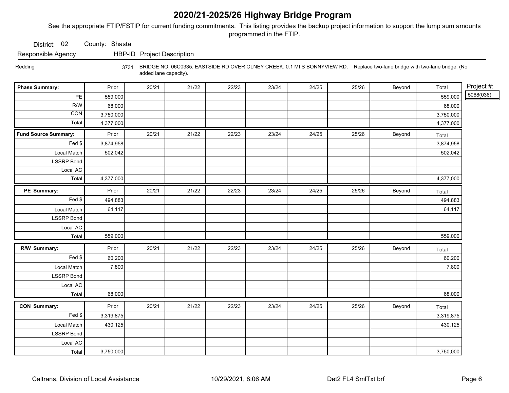See the appropriate FTIP/FSTIP for current funding commitments. This listing provides the backup project information to support the lump sum amounts programmed in the FTIP.

District: 02 County: Shasta

Responsible Agency HBP-ID Project Description

 Redding 3731 BRIDGE NO. 06C0335, EASTSIDE RD OVER OLNEY CREEK, 0.1 MI S BONNYVIEW RD. Replace two-lane bridge with two-lane bridge. (No added lane capacity).

| <b>Phase Summary:</b>       | Prior     | 20/21 | 21/22 | 22/23 | 23/24 | 24/25 | 25/26 | Beyond | Total     | Project #: |
|-----------------------------|-----------|-------|-------|-------|-------|-------|-------|--------|-----------|------------|
| PE                          | 559,000   |       |       |       |       |       |       |        | 559,000   | 5068(036)  |
| R/W                         | 68,000    |       |       |       |       |       |       |        | 68,000    |            |
| CON                         | 3,750,000 |       |       |       |       |       |       |        | 3,750,000 |            |
| Total                       | 4,377,000 |       |       |       |       |       |       |        | 4,377,000 |            |
| <b>Fund Source Summary:</b> | Prior     | 20/21 | 21/22 | 22/23 | 23/24 | 24/25 | 25/26 | Beyond | Total     |            |
| Fed \$                      | 3,874,958 |       |       |       |       |       |       |        | 3,874,958 |            |
| Local Match                 | 502,042   |       |       |       |       |       |       |        | 502,042   |            |
| <b>LSSRP</b> Bond           |           |       |       |       |       |       |       |        |           |            |
| Local AC                    |           |       |       |       |       |       |       |        |           |            |
| Total                       | 4,377,000 |       |       |       |       |       |       |        | 4,377,000 |            |
| PE Summary:                 | Prior     | 20/21 | 21/22 | 22/23 | 23/24 | 24/25 | 25/26 | Beyond | Total     |            |
| $\overline{Fed}$ \$         | 494,883   |       |       |       |       |       |       |        | 494,883   |            |
| Local Match                 | 64,117    |       |       |       |       |       |       |        | 64,117    |            |
| <b>LSSRP</b> Bond           |           |       |       |       |       |       |       |        |           |            |
| Local AC                    |           |       |       |       |       |       |       |        |           |            |
| Total                       | 559,000   |       |       |       |       |       |       |        | 559,000   |            |
| R/W Summary:                | Prior     | 20/21 | 21/22 | 22/23 | 23/24 | 24/25 | 25/26 | Beyond | Total     |            |
| Fed \$                      | 60,200    |       |       |       |       |       |       |        | 60,200    |            |
| Local Match                 | 7,800     |       |       |       |       |       |       |        | 7,800     |            |
| <b>LSSRP Bond</b>           |           |       |       |       |       |       |       |        |           |            |
| Local AC                    |           |       |       |       |       |       |       |        |           |            |
| Total                       | 68,000    |       |       |       |       |       |       |        | 68,000    |            |
| <b>CON Summary:</b>         | Prior     | 20/21 | 21/22 | 22/23 | 23/24 | 24/25 | 25/26 | Beyond | Total     |            |
| Fed \$                      | 3,319,875 |       |       |       |       |       |       |        | 3,319,875 |            |
| Local Match                 | 430,125   |       |       |       |       |       |       |        | 430,125   |            |
| <b>LSSRP Bond</b>           |           |       |       |       |       |       |       |        |           |            |
| Local AC                    |           |       |       |       |       |       |       |        |           |            |
| Total                       | 3,750,000 |       |       |       |       |       |       |        | 3,750,000 |            |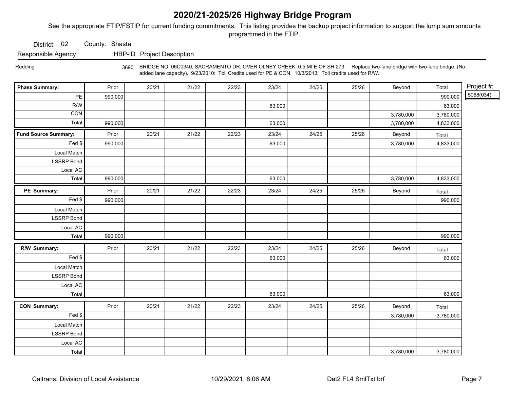See the appropriate FTIP/FSTIP for current funding commitments. This listing provides the backup project information to support the lump sum amounts programmed in the FTIP.

District: 02 County: Shasta

Responsible Agency HBP-ID Project Description

 Redding 3690 BRIDGE NO. 06C0340, SACRAMENTO DR, OVER OLNEY CREEK, 0.5 MI E OF SH 273. Replace two-lane bridge with two-lane bridge. (No added lane capacity). 9/23/2010: Toll Credits used for PE & CON. 10/3/2013: Toll credits used for R/W.

| <b>Phase Summary:</b>       | Prior   | 20/21 | 21/22 | 22/23 | 23/24  | 24/25 | 25/26 | Beyond    | Total     | Project #: |
|-----------------------------|---------|-------|-------|-------|--------|-------|-------|-----------|-----------|------------|
| $\mathsf{PE}$               | 990,000 |       |       |       |        |       |       |           | 990,000   | 5068(034)  |
| R/W                         |         |       |       |       | 63,000 |       |       |           | 63,000    |            |
| CON                         |         |       |       |       |        |       |       | 3,780,000 | 3,780,000 |            |
| Total                       | 990,000 |       |       |       | 63,000 |       |       | 3,780,000 | 4,833,000 |            |
| <b>Fund Source Summary:</b> | Prior   | 20/21 | 21/22 | 22/23 | 23/24  | 24/25 | 25/26 | Beyond    | Total     |            |
| Fed \$                      | 990,000 |       |       |       | 63,000 |       |       | 3,780,000 | 4,833,000 |            |
| Local Match                 |         |       |       |       |        |       |       |           |           |            |
| <b>LSSRP Bond</b>           |         |       |       |       |        |       |       |           |           |            |
| Local AC                    |         |       |       |       |        |       |       |           |           |            |
| Total                       | 990,000 |       |       |       | 63,000 |       |       | 3,780,000 | 4,833,000 |            |
| PE Summary:                 | Prior   | 20/21 | 21/22 | 22/23 | 23/24  | 24/25 | 25/26 | Beyond    | Total     |            |
| Fed \$                      | 990,000 |       |       |       |        |       |       |           | 990,000   |            |
| Local Match                 |         |       |       |       |        |       |       |           |           |            |
| <b>LSSRP Bond</b>           |         |       |       |       |        |       |       |           |           |            |
| Local AC                    |         |       |       |       |        |       |       |           |           |            |
| Total                       | 990,000 |       |       |       |        |       |       |           | 990,000   |            |
| R/W Summary:                | Prior   | 20/21 | 21/22 | 22/23 | 23/24  | 24/25 | 25/26 | Beyond    | Total     |            |
| Fed \$                      |         |       |       |       | 63,000 |       |       |           | 63,000    |            |
| Local Match                 |         |       |       |       |        |       |       |           |           |            |
| <b>LSSRP</b> Bond           |         |       |       |       |        |       |       |           |           |            |
| Local AC                    |         |       |       |       |        |       |       |           |           |            |
| Total                       |         |       |       |       | 63,000 |       |       |           | 63,000    |            |
| <b>CON Summary:</b>         | Prior   | 20/21 | 21/22 | 22/23 | 23/24  | 24/25 | 25/26 | Beyond    | Total     |            |
| Fed \$                      |         |       |       |       |        |       |       | 3,780,000 | 3,780,000 |            |
| Local Match                 |         |       |       |       |        |       |       |           |           |            |
| <b>LSSRP Bond</b>           |         |       |       |       |        |       |       |           |           |            |
| Local AC                    |         |       |       |       |        |       |       |           |           |            |
| Total                       |         |       |       |       |        |       |       | 3,780,000 | 3,780,000 |            |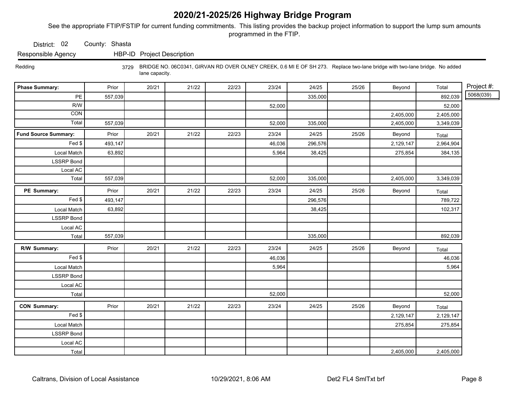See the appropriate FTIP/FSTIP for current funding commitments. This listing provides the backup project information to support the lump sum amounts programmed in the FTIP.

District: 02 County: Shasta

Responsible Agency HBP-ID Project Description

 Redding 3729 BRIDGE NO. 06C0341, GIRVAN RD OVER OLNEY CREEK, 0.6 MI E OF SH 273. Replace two-lane bridge with two-lane bridge. No added lane capacity.

| <b>Phase Summary:</b>       | Prior   | 20/21 | 21/22 | 22/23 | 23/24  | 24/25   | 25/26 | Beyond    | Total     | Project #: |
|-----------------------------|---------|-------|-------|-------|--------|---------|-------|-----------|-----------|------------|
| $\mathsf{PE}$               | 557,039 |       |       |       |        | 335,000 |       |           | 892,039   | 5068(039)  |
| R/W                         |         |       |       |       | 52,000 |         |       |           | 52,000    |            |
| CON                         |         |       |       |       |        |         |       | 2,405,000 | 2,405,000 |            |
| Total                       | 557,039 |       |       |       | 52,000 | 335,000 |       | 2,405,000 | 3,349,039 |            |
| <b>Fund Source Summary:</b> | Prior   | 20/21 | 21/22 | 22/23 | 23/24  | 24/25   | 25/26 | Beyond    | Total     |            |
| Fed \$                      | 493,147 |       |       |       | 46,036 | 296,576 |       | 2,129,147 | 2,964,904 |            |
| Local Match                 | 63,892  |       |       |       | 5,964  | 38,425  |       | 275,854   | 384,135   |            |
| <b>LSSRP</b> Bond           |         |       |       |       |        |         |       |           |           |            |
| Local AC                    |         |       |       |       |        |         |       |           |           |            |
| Total                       | 557,039 |       |       |       | 52,000 | 335,000 |       | 2,405,000 | 3,349,039 |            |
| PE Summary:                 | Prior   | 20/21 | 21/22 | 22/23 | 23/24  | 24/25   | 25/26 | Beyond    | Total     |            |
| Fed                         | 493,147 |       |       |       |        | 296,576 |       |           | 789,722   |            |
| Local Match                 | 63,892  |       |       |       |        | 38,425  |       |           | 102,317   |            |
| <b>LSSRP</b> Bond           |         |       |       |       |        |         |       |           |           |            |
| Local AC                    |         |       |       |       |        |         |       |           |           |            |
| Total                       | 557,039 |       |       |       |        | 335,000 |       |           | 892,039   |            |
| R/W Summary:                | Prior   | 20/21 | 21/22 | 22/23 | 23/24  | 24/25   | 25/26 | Beyond    | Total     |            |
| Fed \$                      |         |       |       |       | 46,036 |         |       |           | 46,036    |            |
| Local Match                 |         |       |       |       | 5,964  |         |       |           | 5,964     |            |
| <b>LSSRP</b> Bond           |         |       |       |       |        |         |       |           |           |            |
| Local AC                    |         |       |       |       |        |         |       |           |           |            |
| Total                       |         |       |       |       | 52,000 |         |       |           | 52,000    |            |
| <b>CON Summary:</b>         | Prior   | 20/21 | 21/22 | 22/23 | 23/24  | 24/25   | 25/26 | Beyond    | Total     |            |
| Fed \$                      |         |       |       |       |        |         |       | 2,129,147 | 2,129,147 |            |
| Local Match                 |         |       |       |       |        |         |       | 275,854   | 275,854   |            |
| <b>LSSRP Bond</b>           |         |       |       |       |        |         |       |           |           |            |
| Local AC                    |         |       |       |       |        |         |       |           |           |            |
| Total                       |         |       |       |       |        |         |       | 2,405,000 | 2,405,000 |            |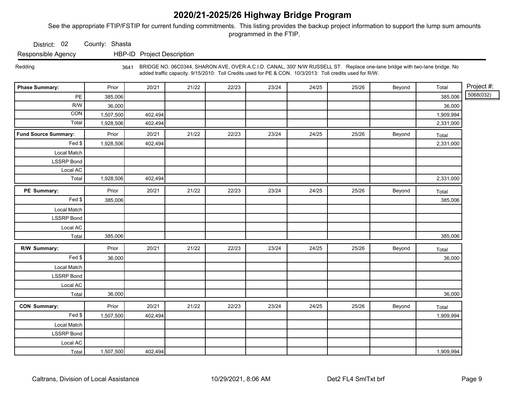See the appropriate FTIP/FSTIP for current funding commitments. This listing provides the backup project information to support the lump sum amounts programmed in the FTIP.

District: 02 County: Shasta

Responsible Agency HBP-ID Project Description

 Redding 3641 BRIDGE NO. 06C0344, SHARON AVE, OVER A.C.I.D. CANAL, 300' N/W RUSSELL ST. Replace one-lane bridge with two-lane bridge. No added traffic capacity. 9/15/2010: Toll Credits used for PE & CON. 10/3/2013: Toll credits used for R/W.

| <b>Phase Summary:</b>       | Prior     | 20/21   | 21/22 | 22/23 | 23/24 | 24/25 | 25/26 | Beyond | Total     | Project #: |
|-----------------------------|-----------|---------|-------|-------|-------|-------|-------|--------|-----------|------------|
| PE                          | 385,006   |         |       |       |       |       |       |        | 385,006   | 5068(032)  |
| R/W                         | 36,000    |         |       |       |       |       |       |        | 36,000    |            |
| CON                         | 1,507,500 | 402,494 |       |       |       |       |       |        | 1,909,994 |            |
| Total                       | 1,928,506 | 402,494 |       |       |       |       |       |        | 2,331,000 |            |
| <b>Fund Source Summary:</b> | Prior     | 20/21   | 21/22 | 22/23 | 23/24 | 24/25 | 25/26 | Beyond | Total     |            |
| Fed \$                      | 1,928,506 | 402,494 |       |       |       |       |       |        | 2,331,000 |            |
| Local Match                 |           |         |       |       |       |       |       |        |           |            |
| <b>LSSRP</b> Bond           |           |         |       |       |       |       |       |        |           |            |
| Local AC                    |           |         |       |       |       |       |       |        |           |            |
| Total                       | 1,928,506 | 402,494 |       |       |       |       |       |        | 2,331,000 |            |
| PE Summary:                 | Prior     | 20/21   | 21/22 | 22/23 | 23/24 | 24/25 | 25/26 | Beyond | Total     |            |
| Fed \$                      | 385,006   |         |       |       |       |       |       |        | 385,006   |            |
| Local Match                 |           |         |       |       |       |       |       |        |           |            |
| <b>LSSRP</b> Bond           |           |         |       |       |       |       |       |        |           |            |
| Local AC                    |           |         |       |       |       |       |       |        |           |            |
| Total                       | 385,006   |         |       |       |       |       |       |        | 385,006   |            |
| R/W Summary:                | Prior     | 20/21   | 21/22 | 22/23 | 23/24 | 24/25 | 25/26 | Beyond | Total     |            |
| Fed \$                      | 36,000    |         |       |       |       |       |       |        | 36,000    |            |
| Local Match                 |           |         |       |       |       |       |       |        |           |            |
| <b>LSSRP Bond</b>           |           |         |       |       |       |       |       |        |           |            |
| Local AC                    |           |         |       |       |       |       |       |        |           |            |
| Total                       | 36,000    |         |       |       |       |       |       |        | 36,000    |            |
| <b>CON Summary:</b>         | Prior     | 20/21   | 21/22 | 22/23 | 23/24 | 24/25 | 25/26 | Beyond | Total     |            |
| Fed \$                      | 1,507,500 | 402,494 |       |       |       |       |       |        | 1,909,994 |            |
| Local Match                 |           |         |       |       |       |       |       |        |           |            |
| <b>LSSRP Bond</b>           |           |         |       |       |       |       |       |        |           |            |
| Local AC                    |           |         |       |       |       |       |       |        |           |            |
| Total                       | 1,507,500 | 402,494 |       |       |       |       |       |        | 1,909,994 |            |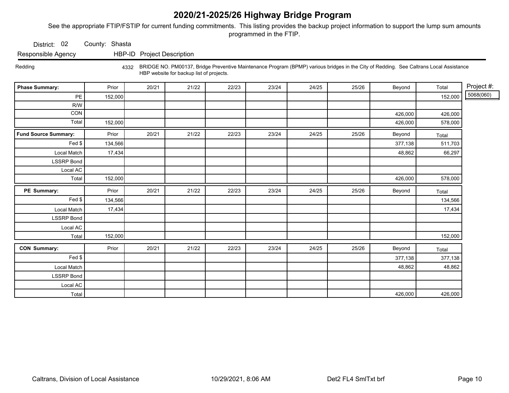See the appropriate FTIP/FSTIP for current funding commitments. This listing provides the backup project information to support the lump sum amounts programmed in the FTIP.

District: 02 County: Shasta

Responsible Agency HBP-ID Project Description

Redding 4332 BRIDGE NO. PM00137, Bridge Preventive Maintenance Program (BPMP) various bridges in the City of Redding. See Caltrans Local Assistance HBP website for backup list of projects.

| <b>Phase Summary:</b>       | Prior   | 20/21 | 21/22 | 22/23 | 23/24 | 24/25 | 25/26 | Beyond  | Total   | Project #: |
|-----------------------------|---------|-------|-------|-------|-------|-------|-------|---------|---------|------------|
| $\mathsf{PE}$               | 152,000 |       |       |       |       |       |       |         | 152,000 | 5068(060)  |
| R/W                         |         |       |       |       |       |       |       |         |         |            |
| CON                         |         |       |       |       |       |       |       | 426,000 | 426,000 |            |
| Total                       | 152,000 |       |       |       |       |       |       | 426,000 | 578,000 |            |
| <b>Fund Source Summary:</b> | Prior   | 20/21 | 21/22 | 22/23 | 23/24 | 24/25 | 25/26 | Beyond  | Total   |            |
| Fed \$                      | 134,566 |       |       |       |       |       |       | 377,138 | 511,703 |            |
| Local Match                 | 17,434  |       |       |       |       |       |       | 48,862  | 66,297  |            |
| <b>LSSRP Bond</b>           |         |       |       |       |       |       |       |         |         |            |
| Local AC                    |         |       |       |       |       |       |       |         |         |            |
| Total                       | 152,000 |       |       |       |       |       |       | 426,000 | 578,000 |            |
| PE Summary:                 | Prior   | 20/21 | 21/22 | 22/23 | 23/24 | 24/25 | 25/26 | Beyond  | Total   |            |
| Fed \$                      | 134,566 |       |       |       |       |       |       |         | 134,566 |            |
| Local Match                 | 17,434  |       |       |       |       |       |       |         | 17,434  |            |
| <b>LSSRP</b> Bond           |         |       |       |       |       |       |       |         |         |            |
| Local AC                    |         |       |       |       |       |       |       |         |         |            |
| Total                       | 152,000 |       |       |       |       |       |       |         | 152,000 |            |
| <b>CON Summary:</b>         | Prior   | 20/21 | 21/22 | 22/23 | 23/24 | 24/25 | 25/26 | Beyond  | Total   |            |
| Fed \$                      |         |       |       |       |       |       |       | 377,138 | 377,138 |            |
| Local Match                 |         |       |       |       |       |       |       | 48,862  | 48,862  |            |
| <b>LSSRP Bond</b>           |         |       |       |       |       |       |       |         |         |            |
| Local AC                    |         |       |       |       |       |       |       |         |         |            |
| Total                       |         |       |       |       |       |       |       | 426,000 | 426,000 |            |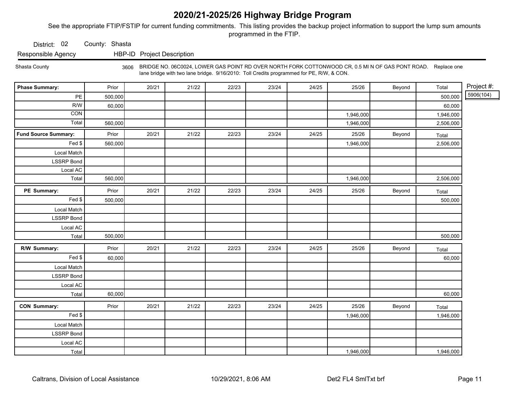See the appropriate FTIP/FSTIP for current funding commitments. This listing provides the backup project information to support the lump sum amounts programmed in the FTIP.

District: 02 County: Shasta

Responsible Agency HBP-ID Project Description

Shasta County <sub>3606</sub> BRIDGE NO. 06C0024, LOWER GAS POINT RD OVER NORTH FORK COTTONWOOD CR, 0.5 MI N OF GAS PONT ROAD. Replace one lane bridge with two lane bridge. 9/16/2010: Toll Credits programmed for PE, R/W, & CON.

| <b>Phase Summary:</b>       | Prior   | 20/21 | 21/22 | 22/23 | 23/24 | 24/25 | 25/26     | Beyond | Total     | Project #: |
|-----------------------------|---------|-------|-------|-------|-------|-------|-----------|--------|-----------|------------|
| PE                          | 500,000 |       |       |       |       |       |           |        | 500,000   | 5906(104)  |
| R/W                         | 60,000  |       |       |       |       |       |           |        | 60,000    |            |
| $\overline{CON}$            |         |       |       |       |       |       | 1,946,000 |        | 1,946,000 |            |
| Total                       | 560,000 |       |       |       |       |       | 1,946,000 |        | 2,506,000 |            |
| <b>Fund Source Summary:</b> | Prior   | 20/21 | 21/22 | 22/23 | 23/24 | 24/25 | 25/26     | Beyond | Total     |            |
| Fed \$                      | 560,000 |       |       |       |       |       | 1,946,000 |        | 2,506,000 |            |
| Local Match                 |         |       |       |       |       |       |           |        |           |            |
| <b>LSSRP Bond</b>           |         |       |       |       |       |       |           |        |           |            |
| Local AC                    |         |       |       |       |       |       |           |        |           |            |
| Total                       | 560,000 |       |       |       |       |       | 1,946,000 |        | 2,506,000 |            |
| PE Summary:                 | Prior   | 20/21 | 21/22 | 22/23 | 23/24 | 24/25 | 25/26     | Beyond | Total     |            |
| Fed \$                      | 500,000 |       |       |       |       |       |           |        | 500,000   |            |
| Local Match                 |         |       |       |       |       |       |           |        |           |            |
| <b>LSSRP</b> Bond           |         |       |       |       |       |       |           |        |           |            |
| Local AC                    |         |       |       |       |       |       |           |        |           |            |
| Total                       | 500,000 |       |       |       |       |       |           |        | 500,000   |            |
| R/W Summary:                | Prior   | 20/21 | 21/22 | 22/23 | 23/24 | 24/25 | 25/26     | Beyond | Total     |            |
| Fed                         | 60,000  |       |       |       |       |       |           |        | 60,000    |            |
| Local Match                 |         |       |       |       |       |       |           |        |           |            |
| <b>LSSRP Bond</b>           |         |       |       |       |       |       |           |        |           |            |
| Local AC                    |         |       |       |       |       |       |           |        |           |            |
| Total                       | 60,000  |       |       |       |       |       |           |        | 60,000    |            |
| <b>CON Summary:</b>         | Prior   | 20/21 | 21/22 | 22/23 | 23/24 | 24/25 | 25/26     | Beyond | Total     |            |
| Fed \$                      |         |       |       |       |       |       | 1,946,000 |        | 1,946,000 |            |
| Local Match                 |         |       |       |       |       |       |           |        |           |            |
| <b>LSSRP Bond</b>           |         |       |       |       |       |       |           |        |           |            |
| Local AC                    |         |       |       |       |       |       |           |        |           |            |
| Total                       |         |       |       |       |       |       | 1,946,000 |        | 1,946,000 |            |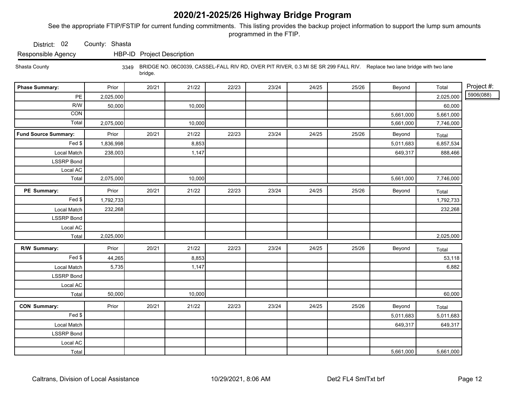See the appropriate FTIP/FSTIP for current funding commitments. This listing provides the backup project information to support the lump sum amounts programmed in the FTIP.

District: 02 County: Shasta

Responsible Agency HBP-ID Project Description

Shasta County

3349 BRIDGE NO. 06C0039, CASSEL-FALL RIV RD, OVER PIT RIVER, 0.3 MI SE SR 299 FALL RIV. Replace two lane bridge with two lane bridge.

| <b>Phase Summary:</b>       | Prior     | 20/21 | 21/22  | 22/23 | 23/24 | 24/25 | 25/26 | Beyond    | Total     | Project #: |
|-----------------------------|-----------|-------|--------|-------|-------|-------|-------|-----------|-----------|------------|
| PE                          | 2,025,000 |       |        |       |       |       |       |           | 2,025,000 | 5906(088)  |
| R/W                         | 50,000    |       | 10,000 |       |       |       |       |           | 60,000    |            |
| <b>CON</b>                  |           |       |        |       |       |       |       | 5,661,000 | 5,661,000 |            |
| Total                       | 2,075,000 |       | 10,000 |       |       |       |       | 5,661,000 | 7,746,000 |            |
| <b>Fund Source Summary:</b> | Prior     | 20/21 | 21/22  | 22/23 | 23/24 | 24/25 | 25/26 | Beyond    | Total     |            |
| Fed \$                      | 1,836,998 |       | 8,853  |       |       |       |       | 5,011,683 | 6,857,534 |            |
| Local Match                 | 238,003   |       | 1,147  |       |       |       |       | 649,317   | 888,466   |            |
| <b>LSSRP Bond</b>           |           |       |        |       |       |       |       |           |           |            |
| Local AC                    |           |       |        |       |       |       |       |           |           |            |
| Total                       | 2,075,000 |       | 10,000 |       |       |       |       | 5,661,000 | 7,746,000 |            |
| PE Summary:                 | Prior     | 20/21 | 21/22  | 22/23 | 23/24 | 24/25 | 25/26 | Beyond    | Total     |            |
| Fed                         | 1,792,733 |       |        |       |       |       |       |           | 1,792,733 |            |
| Local Match                 | 232,268   |       |        |       |       |       |       |           | 232,268   |            |
| <b>LSSRP Bond</b>           |           |       |        |       |       |       |       |           |           |            |
| Local AC                    |           |       |        |       |       |       |       |           |           |            |
| Total                       | 2,025,000 |       |        |       |       |       |       |           | 2,025,000 |            |
| R/W Summary:                | Prior     | 20/21 | 21/22  | 22/23 | 23/24 | 24/25 | 25/26 | Beyond    | Total     |            |
| Fed                         | 44,265    |       | 8,853  |       |       |       |       |           | 53,118    |            |
| Local Match                 | 5,735     |       | 1,147  |       |       |       |       |           | 6,882     |            |
| <b>LSSRP Bond</b>           |           |       |        |       |       |       |       |           |           |            |
| Local AC                    |           |       |        |       |       |       |       |           |           |            |
| Total                       | 50,000    |       | 10,000 |       |       |       |       |           | 60,000    |            |
| <b>CON Summary:</b>         | Prior     | 20/21 | 21/22  | 22/23 | 23/24 | 24/25 | 25/26 | Beyond    | Total     |            |
| Fed \$                      |           |       |        |       |       |       |       | 5,011,683 | 5,011,683 |            |
| Local Match                 |           |       |        |       |       |       |       | 649,317   | 649,317   |            |
| <b>LSSRP Bond</b>           |           |       |        |       |       |       |       |           |           |            |
| Local AC                    |           |       |        |       |       |       |       |           |           |            |
| Total                       |           |       |        |       |       |       |       | 5,661,000 | 5,661,000 |            |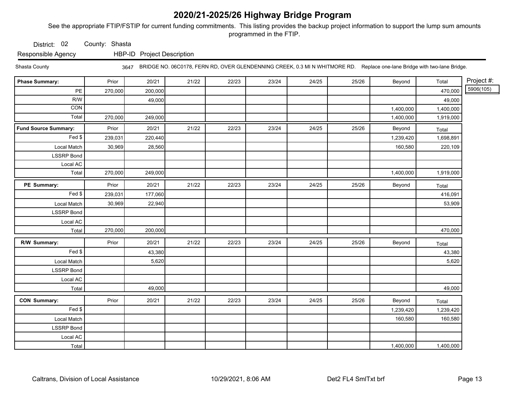See the appropriate FTIP/FSTIP for current funding commitments. This listing provides the backup project information to support the lump sum amounts programmed in the FTIP.

District: 02 County: Shasta

Responsible Agency HBP-ID Project Description

Shasta County 3647 BRIDGE NO. 06C0178, FERN RD, OVER GLENDENNING CREEK, 0.3 MI N WHITMORE RD. Replace one-lane Bridge with two-lane Bridge.

| <b>Phase Summary:</b>       | Prior   | 20/21   | 21/22 | 22/23 | 23/24 | 24/25 | 25/26 | Beyond    | Total     | Project #: |
|-----------------------------|---------|---------|-------|-------|-------|-------|-------|-----------|-----------|------------|
| PE                          | 270,000 | 200,000 |       |       |       |       |       |           | 470,000   | 5906(105)  |
| R/W                         |         | 49,000  |       |       |       |       |       |           | 49,000    |            |
| CON                         |         |         |       |       |       |       |       | 1,400,000 | 1,400,000 |            |
| Total                       | 270,000 | 249,000 |       |       |       |       |       | 1,400,000 | 1,919,000 |            |
| <b>Fund Source Summary:</b> | Prior   | 20/21   | 21/22 | 22/23 | 23/24 | 24/25 | 25/26 | Beyond    | Total     |            |
| Fed \$                      | 239,031 | 220,440 |       |       |       |       |       | 1,239,420 | 1,698,891 |            |
| Local Match                 | 30,969  | 28,560  |       |       |       |       |       | 160,580   | 220,109   |            |
| <b>LSSRP Bond</b>           |         |         |       |       |       |       |       |           |           |            |
| Local AC                    |         |         |       |       |       |       |       |           |           |            |
| Total                       | 270,000 | 249,000 |       |       |       |       |       | 1,400,000 | 1,919,000 |            |
| PE Summary:                 | Prior   | 20/21   | 21/22 | 22/23 | 23/24 | 24/25 | 25/26 | Beyond    | Total     |            |
| Fed \$                      | 239,031 | 177,060 |       |       |       |       |       |           | 416,091   |            |
| Local Match                 | 30,969  | 22,940  |       |       |       |       |       |           | 53,909    |            |
| <b>LSSRP Bond</b>           |         |         |       |       |       |       |       |           |           |            |
| Local AC                    |         |         |       |       |       |       |       |           |           |            |
| Total                       | 270,000 | 200,000 |       |       |       |       |       |           | 470,000   |            |
| R/W Summary:                | Prior   | 20/21   | 21/22 | 22/23 | 23/24 | 24/25 | 25/26 | Beyond    | Total     |            |
| Fed                         |         | 43,380  |       |       |       |       |       |           | 43,380    |            |
| Local Match                 |         | 5,620   |       |       |       |       |       |           | 5,620     |            |
| <b>LSSRP</b> Bond           |         |         |       |       |       |       |       |           |           |            |
| Local AC                    |         |         |       |       |       |       |       |           |           |            |
| Total                       |         | 49,000  |       |       |       |       |       |           | 49,000    |            |
| <b>CON Summary:</b>         | Prior   | 20/21   | 21/22 | 22/23 | 23/24 | 24/25 | 25/26 | Beyond    | Total     |            |
| Fed                         |         |         |       |       |       |       |       | 1,239,420 | 1,239,420 |            |
| Local Match                 |         |         |       |       |       |       |       | 160,580   | 160,580   |            |
| <b>LSSRP Bond</b>           |         |         |       |       |       |       |       |           |           |            |
| Local AC                    |         |         |       |       |       |       |       |           |           |            |
| Total                       |         |         |       |       |       |       |       | 1,400,000 | 1,400,000 |            |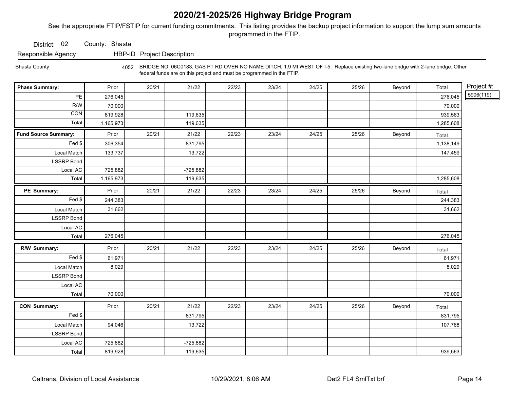See the appropriate FTIP/FSTIP for current funding commitments. This listing provides the backup project information to support the lump sum amounts programmed in the FTIP.

District: 02 County: Shasta

Responsible Agency HBP-ID Project Description

Shasta County 4052 BRIDGE NO. 06C0183, GAS PT RD OVER NO NAME DITCH, 1.9 MI WEST OF I-5. Replace existing two-lane bridge with 2-lane bridge. Other federal funds are on this project and must be programmed in the FTIP.

| <b>Phase Summary:</b>       | Prior     | 20/21 | 21/22      | 22/23 | 23/24 | 24/25 | 25/26 | Beyond | Total     | Project #: |
|-----------------------------|-----------|-------|------------|-------|-------|-------|-------|--------|-----------|------------|
| PE                          | 276,045   |       |            |       |       |       |       |        | 276,045   | 5906(119)  |
| R/W                         | 70,000    |       |            |       |       |       |       |        | 70,000    |            |
| CON                         | 819,928   |       | 119,635    |       |       |       |       |        | 939,563   |            |
| Total                       | 1,165,973 |       | 119,635    |       |       |       |       |        | 1,285,608 |            |
| <b>Fund Source Summary:</b> | Prior     | 20/21 | 21/22      | 22/23 | 23/24 | 24/25 | 25/26 | Beyond | Total     |            |
| Fed \$                      | 306,354   |       | 831,795    |       |       |       |       |        | 1,138,149 |            |
| Local Match                 | 133,737   |       | 13,722     |       |       |       |       |        | 147,459   |            |
| <b>LSSRP Bond</b>           |           |       |            |       |       |       |       |        |           |            |
| Local AC                    | 725,882   |       | $-725,882$ |       |       |       |       |        |           |            |
| Total                       | 1,165,973 |       | 119,635    |       |       |       |       |        | 1,285,608 |            |
| PE Summary:                 | Prior     | 20/21 | 21/22      | 22/23 | 23/24 | 24/25 | 25/26 | Beyond | Total     |            |
| Fed \$                      | 244,383   |       |            |       |       |       |       |        | 244,383   |            |
| Local Match                 | 31,662    |       |            |       |       |       |       |        | 31,662    |            |
| <b>LSSRP Bond</b>           |           |       |            |       |       |       |       |        |           |            |
| Local AC                    |           |       |            |       |       |       |       |        |           |            |
| Total                       | 276,045   |       |            |       |       |       |       |        | 276,045   |            |
| R/W Summary:                | Prior     | 20/21 | 21/22      | 22/23 | 23/24 | 24/25 | 25/26 | Beyond | Total     |            |
| Fed                         | 61,971    |       |            |       |       |       |       |        | 61,971    |            |
| Local Match                 | 8,029     |       |            |       |       |       |       |        | 8,029     |            |
| <b>LSSRP Bond</b>           |           |       |            |       |       |       |       |        |           |            |
| Local AC                    |           |       |            |       |       |       |       |        |           |            |
| Total                       | 70,000    |       |            |       |       |       |       |        | 70,000    |            |
| <b>CON Summary:</b>         | Prior     | 20/21 | 21/22      | 22/23 | 23/24 | 24/25 | 25/26 | Beyond | Total     |            |
| Fed \$                      |           |       | 831,795    |       |       |       |       |        | 831,795   |            |
| Local Match                 | 94,046    |       | 13,722     |       |       |       |       |        | 107,768   |            |
| <b>LSSRP</b> Bond           |           |       |            |       |       |       |       |        |           |            |
| Local AC                    | 725,882   |       | $-725,882$ |       |       |       |       |        |           |            |
| Total                       | 819,928   |       | 119,635    |       |       |       |       |        | 939,563   |            |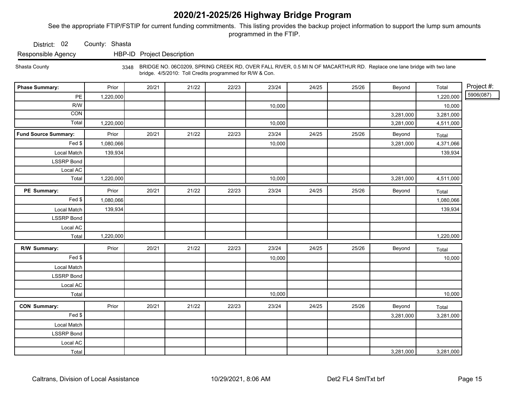See the appropriate FTIP/FSTIP for current funding commitments. This listing provides the backup project information to support the lump sum amounts programmed in the FTIP.

District: 02 County: Shasta

Responsible Agency HBP-ID Project Description

Shasta County

 bridge. 4/5/2010: Toll Credits programmed for R/W & Con. 3348 BRIDGE NO. 06C0209, SPRING CREEK RD, OVER FALL RIVER, 0.5 MI N OF MACARTHUR RD. Replace one lane bridge with two lane

| <b>Phase Summary:</b>       | Prior     | 20/21 | 21/22 | 22/23 | 23/24  | 24/25 | 25/26 | Beyond    | Total     | Project #: |
|-----------------------------|-----------|-------|-------|-------|--------|-------|-------|-----------|-----------|------------|
| PE                          | 1,220,000 |       |       |       |        |       |       |           | 1,220,000 | 5906(087)  |
| R/W                         |           |       |       |       | 10,000 |       |       |           | 10,000    |            |
| <b>CON</b>                  |           |       |       |       |        |       |       | 3,281,000 | 3,281,000 |            |
| Total                       | 1,220,000 |       |       |       | 10,000 |       |       | 3,281,000 | 4,511,000 |            |
| <b>Fund Source Summary:</b> | Prior     | 20/21 | 21/22 | 22/23 | 23/24  | 24/25 | 25/26 | Beyond    | Total     |            |
| Fed                         | 1,080,066 |       |       |       | 10,000 |       |       | 3,281,000 | 4,371,066 |            |
| Local Match                 | 139,934   |       |       |       |        |       |       |           | 139,934   |            |
| <b>LSSRP Bond</b>           |           |       |       |       |        |       |       |           |           |            |
| Local AC                    |           |       |       |       |        |       |       |           |           |            |
| Total                       | 1,220,000 |       |       |       | 10,000 |       |       | 3,281,000 | 4,511,000 |            |
| PE Summary:                 | Prior     | 20/21 | 21/22 | 22/23 | 23/24  | 24/25 | 25/26 | Beyond    | Total     |            |
| $Fed$ \$                    | 1,080,066 |       |       |       |        |       |       |           | 1,080,066 |            |
| Local Match                 | 139,934   |       |       |       |        |       |       |           | 139,934   |            |
| <b>LSSRP Bond</b>           |           |       |       |       |        |       |       |           |           |            |
| Local AC                    |           |       |       |       |        |       |       |           |           |            |
| Total                       | 1,220,000 |       |       |       |        |       |       |           | 1,220,000 |            |
| R/W Summary:                | Prior     | 20/21 | 21/22 | 22/23 | 23/24  | 24/25 | 25/26 | Beyond    | Total     |            |
| Fed                         |           |       |       |       | 10,000 |       |       |           | 10,000    |            |
| Local Match                 |           |       |       |       |        |       |       |           |           |            |
| <b>LSSRP Bond</b>           |           |       |       |       |        |       |       |           |           |            |
| Local AC                    |           |       |       |       |        |       |       |           |           |            |
| Total                       |           |       |       |       | 10,000 |       |       |           | 10,000    |            |
| <b>CON Summary:</b>         | Prior     | 20/21 | 21/22 | 22/23 | 23/24  | 24/25 | 25/26 | Beyond    | Total     |            |
| Fed                         |           |       |       |       |        |       |       | 3,281,000 | 3,281,000 |            |
| Local Match                 |           |       |       |       |        |       |       |           |           |            |
| <b>LSSRP Bond</b>           |           |       |       |       |        |       |       |           |           |            |
| Local AC                    |           |       |       |       |        |       |       |           |           |            |
| Total                       |           |       |       |       |        |       |       | 3,281,000 | 3,281,000 |            |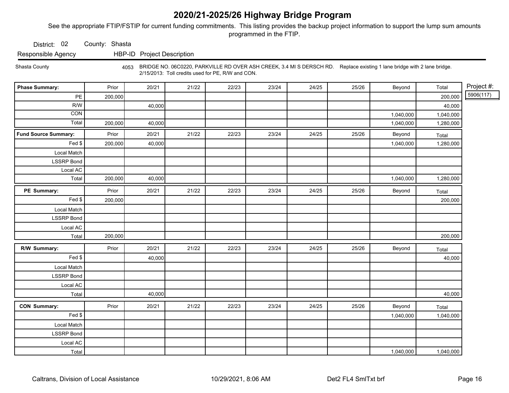See the appropriate FTIP/FSTIP for current funding commitments. This listing provides the backup project information to support the lump sum amounts programmed in the FTIP.

District: 02 County: Shasta

Responsible Agency HBP-ID Project Description

Shasta County 4053 BRIDGE NO. 06C0220, PARKVILLE RD OVER ASH CREEK, 3.4 MI S DERSCH RD. Replace existing 1 lane bridge with 2 lane bridge. 2/15/2013: Toll credits used for PE, R/W and CON.

| <b>Phase Summary:</b>       | Prior   | 20/21  | 21/22 | 22/23 | 23/24 | 24/25 | 25/26 | Beyond    | Total     | Project #: |
|-----------------------------|---------|--------|-------|-------|-------|-------|-------|-----------|-----------|------------|
| PE                          | 200,000 |        |       |       |       |       |       |           | 200,000   | 5906(117)  |
| R/W                         |         | 40,000 |       |       |       |       |       |           | 40,000    |            |
| $\overline{CON}$            |         |        |       |       |       |       |       | 1,040,000 | 1,040,000 |            |
| Total                       | 200,000 | 40,000 |       |       |       |       |       | 1,040,000 | 1,280,000 |            |
| <b>Fund Source Summary:</b> | Prior   | 20/21  | 21/22 | 22/23 | 23/24 | 24/25 | 25/26 | Beyond    | Total     |            |
| Fed \$                      | 200,000 | 40,000 |       |       |       |       |       | 1,040,000 | 1,280,000 |            |
| Local Match                 |         |        |       |       |       |       |       |           |           |            |
| <b>LSSRP</b> Bond           |         |        |       |       |       |       |       |           |           |            |
| Local AC                    |         |        |       |       |       |       |       |           |           |            |
| Total                       | 200,000 | 40,000 |       |       |       |       |       | 1,040,000 | 1,280,000 |            |
| PE Summary:                 | Prior   | 20/21  | 21/22 | 22/23 | 23/24 | 24/25 | 25/26 | Beyond    | Total     |            |
| Fed \$                      | 200,000 |        |       |       |       |       |       |           | 200,000   |            |
| Local Match                 |         |        |       |       |       |       |       |           |           |            |
| <b>LSSRP</b> Bond           |         |        |       |       |       |       |       |           |           |            |
| Local AC                    |         |        |       |       |       |       |       |           |           |            |
| Total                       | 200,000 |        |       |       |       |       |       |           | 200,000   |            |
| R/W Summary:                | Prior   | 20/21  | 21/22 | 22/23 | 23/24 | 24/25 | 25/26 | Beyond    | Total     |            |
| $\overline{Fed}$ \$         |         | 40,000 |       |       |       |       |       |           | 40,000    |            |
| Local Match                 |         |        |       |       |       |       |       |           |           |            |
| <b>LSSRP</b> Bond           |         |        |       |       |       |       |       |           |           |            |
| Local AC                    |         |        |       |       |       |       |       |           |           |            |
| Total                       |         | 40,000 |       |       |       |       |       |           | 40,000    |            |
| <b>CON Summary:</b>         | Prior   | 20/21  | 21/22 | 22/23 | 23/24 | 24/25 | 25/26 | Beyond    | Total     |            |
| Fed                         |         |        |       |       |       |       |       | 1,040,000 | 1,040,000 |            |
| Local Match                 |         |        |       |       |       |       |       |           |           |            |
| <b>LSSRP</b> Bond           |         |        |       |       |       |       |       |           |           |            |
| Local AC                    |         |        |       |       |       |       |       |           |           |            |
| Total                       |         |        |       |       |       |       |       | 1,040,000 | 1,040,000 |            |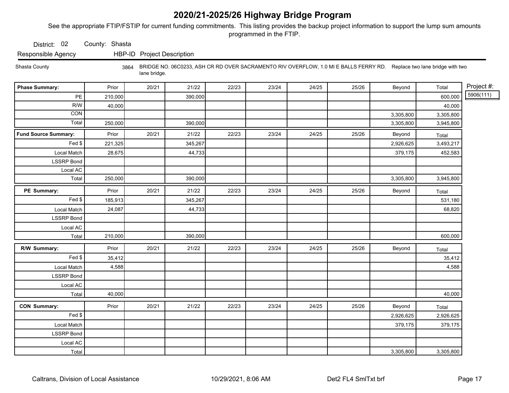See the appropriate FTIP/FSTIP for current funding commitments. This listing provides the backup project information to support the lump sum amounts programmed in the FTIP.

District: 02 County: Shasta

Responsible Agency HBP-ID Project Description

Shasta County 3864 BRIDGE NO. 06C0233, ASH CR RD OVER SACRAMENTO RIV OVERFLOW, 1.0 MI E BALLS FERRY RD. Replace two lane bridge with two lane bridge.

| <b>Phase Summary:</b>       | Prior   | 20/21 | 21/22   | 22/23 | 23/24 | 24/25 | 25/26 | Beyond    | Total     | Project #: |
|-----------------------------|---------|-------|---------|-------|-------|-------|-------|-----------|-----------|------------|
| PE                          | 210,000 |       | 390,000 |       |       |       |       |           | 600,000   | 5906(111)  |
| R/W                         | 40,000  |       |         |       |       |       |       |           | 40,000    |            |
| CON                         |         |       |         |       |       |       |       | 3,305,800 | 3,305,800 |            |
| Total                       | 250,000 |       | 390,000 |       |       |       |       | 3,305,800 | 3,945,800 |            |
| <b>Fund Source Summary:</b> | Prior   | 20/21 | 21/22   | 22/23 | 23/24 | 24/25 | 25/26 | Beyond    | Total     |            |
| Fed \$                      | 221,325 |       | 345,267 |       |       |       |       | 2,926,625 | 3,493,217 |            |
| Local Match                 | 28,675  |       | 44,733  |       |       |       |       | 379,175   | 452,583   |            |
| <b>LSSRP</b> Bond           |         |       |         |       |       |       |       |           |           |            |
| Local AC                    |         |       |         |       |       |       |       |           |           |            |
| Total                       | 250,000 |       | 390,000 |       |       |       |       | 3,305,800 | 3,945,800 |            |
| PE Summary:                 | Prior   | 20/21 | 21/22   | 22/23 | 23/24 | 24/25 | 25/26 | Beyond    | Total     |            |
| Fed \$                      | 185,913 |       | 345,267 |       |       |       |       |           | 531,180   |            |
| Local Match                 | 24,087  |       | 44,733  |       |       |       |       |           | 68,820    |            |
| <b>LSSRP Bond</b>           |         |       |         |       |       |       |       |           |           |            |
| Local AC                    |         |       |         |       |       |       |       |           |           |            |
| Total                       | 210,000 |       | 390,000 |       |       |       |       |           | 600,000   |            |
| R/W Summary:                | Prior   | 20/21 | 21/22   | 22/23 | 23/24 | 24/25 | 25/26 | Beyond    | Total     |            |
| Fed                         | 35,412  |       |         |       |       |       |       |           | 35,412    |            |
| Local Match                 | 4,588   |       |         |       |       |       |       |           | 4,588     |            |
| <b>LSSRP Bond</b>           |         |       |         |       |       |       |       |           |           |            |
| Local AC                    |         |       |         |       |       |       |       |           |           |            |
| Total                       | 40,000  |       |         |       |       |       |       |           | 40,000    |            |
| <b>CON Summary:</b>         | Prior   | 20/21 | 21/22   | 22/23 | 23/24 | 24/25 | 25/26 | Beyond    | Total     |            |
| Fed                         |         |       |         |       |       |       |       | 2,926,625 | 2,926,625 |            |
| Local Match                 |         |       |         |       |       |       |       | 379,175   | 379,175   |            |
| <b>LSSRP Bond</b>           |         |       |         |       |       |       |       |           |           |            |
| Local AC                    |         |       |         |       |       |       |       |           |           |            |
| Total                       |         |       |         |       |       |       |       | 3,305,800 | 3,305,800 |            |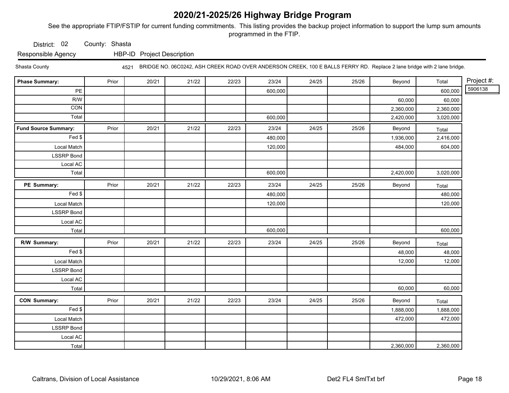See the appropriate FTIP/FSTIP for current funding commitments. This listing provides the backup project information to support the lump sum amounts programmed in the FTIP.

District: 02 County: Shasta

Responsible Agency HBP-ID Project Description

Shasta County 4521 BRIDGE NO. 06C0242, ASH CREEK ROAD OVER ANDERSON CREEK, 100 E BALLS FERRY RD. Replace 2 lane bridge with 2 lane bridge.

| <b>Phase Summary:</b>       | Prior | 20/21 | 21/22 | 22/23 | 23/24   | 24/25 | 25/26 | Beyond    | Total     | Project #: |
|-----------------------------|-------|-------|-------|-------|---------|-------|-------|-----------|-----------|------------|
| PE                          |       |       |       |       | 600,000 |       |       |           | 600,000   | 5906138    |
| R/W                         |       |       |       |       |         |       |       | 60,000    | 60,000    |            |
| CON                         |       |       |       |       |         |       |       | 2,360,000 | 2,360,000 |            |
| Total                       |       |       |       |       | 600,000 |       |       | 2,420,000 | 3,020,000 |            |
| <b>Fund Source Summary:</b> | Prior | 20/21 | 21/22 | 22/23 | 23/24   | 24/25 | 25/26 | Beyond    | Total     |            |
| Fed \$                      |       |       |       |       | 480,000 |       |       | 1,936,000 | 2,416,000 |            |
| Local Match                 |       |       |       |       | 120,000 |       |       | 484,000   | 604,000   |            |
| <b>LSSRP</b> Bond           |       |       |       |       |         |       |       |           |           |            |
| Local AC                    |       |       |       |       |         |       |       |           |           |            |
| Total                       |       |       |       |       | 600,000 |       |       | 2,420,000 | 3,020,000 |            |
| PE Summary:                 | Prior | 20/21 | 21/22 | 22/23 | 23/24   | 24/25 | 25/26 | Beyond    | Total     |            |
| Fed \$                      |       |       |       |       | 480,000 |       |       |           | 480,000   |            |
| Local Match                 |       |       |       |       | 120,000 |       |       |           | 120,000   |            |
| <b>LSSRP Bond</b>           |       |       |       |       |         |       |       |           |           |            |
| Local AC                    |       |       |       |       |         |       |       |           |           |            |
| Total                       |       |       |       |       | 600,000 |       |       |           | 600,000   |            |
| R/W Summary:                | Prior | 20/21 | 21/22 | 22/23 | 23/24   | 24/25 | 25/26 | Beyond    | Total     |            |
| Fed \$                      |       |       |       |       |         |       |       | 48,000    | 48,000    |            |
| Local Match                 |       |       |       |       |         |       |       | 12,000    | 12,000    |            |
| <b>LSSRP</b> Bond           |       |       |       |       |         |       |       |           |           |            |
| Local AC                    |       |       |       |       |         |       |       |           |           |            |
| Total                       |       |       |       |       |         |       |       | 60,000    | 60,000    |            |
| <b>CON Summary:</b>         | Prior | 20/21 | 21/22 | 22/23 | 23/24   | 24/25 | 25/26 | Beyond    | Total     |            |
| $\overline{F}$ ed \$        |       |       |       |       |         |       |       | 1,888,000 | 1,888,000 |            |
| Local Match                 |       |       |       |       |         |       |       | 472,000   | 472,000   |            |
| <b>LSSRP</b> Bond           |       |       |       |       |         |       |       |           |           |            |
| Local AC                    |       |       |       |       |         |       |       |           |           |            |
| Total                       |       |       |       |       |         |       |       | 2,360,000 | 2,360,000 |            |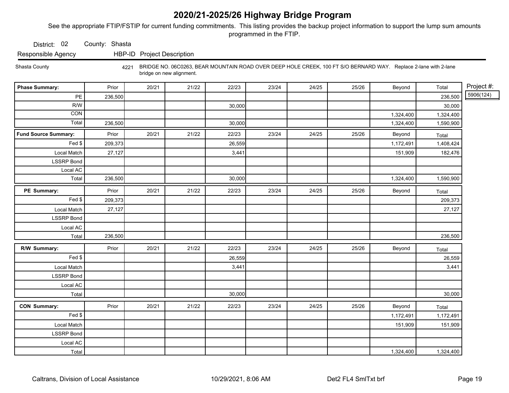See the appropriate FTIP/FSTIP for current funding commitments. This listing provides the backup project information to support the lump sum amounts programmed in the FTIP.

District: 02 County: Shasta

Responsible Agency HBP-ID Project Description

Shasta County 4221 BRIDGE NO. 06C0263, BEAR MOUNTAIN ROAD OVER DEEP HOLE CREEK, 100 FT S/O BERNARD WAY. Replace 2-lane with 2-lane bridge on new alignment.

| <b>Phase Summary:</b>       | Prior   | 20/21 | 21/22 | 22/23  | 23/24 | 24/25 | 25/26 | Beyond    | Total     | Project #: |
|-----------------------------|---------|-------|-------|--------|-------|-------|-------|-----------|-----------|------------|
| $\mathsf{PE}$               | 236,500 |       |       |        |       |       |       |           | 236,500   | 5906(124)  |
| R/W                         |         |       |       | 30,000 |       |       |       |           | 30,000    |            |
| CON                         |         |       |       |        |       |       |       | 1,324,400 | 1,324,400 |            |
| Total                       | 236,500 |       |       | 30,000 |       |       |       | 1,324,400 | 1,590,900 |            |
| <b>Fund Source Summary:</b> | Prior   | 20/21 | 21/22 | 22/23  | 23/24 | 24/25 | 25/26 | Beyond    | Total     |            |
| Fed \$                      | 209,373 |       |       | 26,559 |       |       |       | 1,172,491 | 1,408,424 |            |
| Local Match                 | 27,127  |       |       | 3,441  |       |       |       | 151,909   | 182,476   |            |
| <b>LSSRP</b> Bond           |         |       |       |        |       |       |       |           |           |            |
| Local AC                    |         |       |       |        |       |       |       |           |           |            |
| Total                       | 236,500 |       |       | 30,000 |       |       |       | 1,324,400 | 1,590,900 |            |
| PE Summary:                 | Prior   | 20/21 | 21/22 | 22/23  | 23/24 | 24/25 | 25/26 | Beyond    | Total     |            |
| $\overline{F}$ ed \$        | 209,373 |       |       |        |       |       |       |           | 209,373   |            |
| Local Match                 | 27,127  |       |       |        |       |       |       |           | 27,127    |            |
| <b>LSSRP</b> Bond           |         |       |       |        |       |       |       |           |           |            |
| Local AC                    |         |       |       |        |       |       |       |           |           |            |
| Total                       | 236,500 |       |       |        |       |       |       |           | 236,500   |            |
| R/W Summary:                | Prior   | 20/21 | 21/22 | 22/23  | 23/24 | 24/25 | 25/26 | Beyond    | Total     |            |
| Fed \$                      |         |       |       | 26,559 |       |       |       |           | 26,559    |            |
| Local Match                 |         |       |       | 3,441  |       |       |       |           | 3,441     |            |
| <b>LSSRP</b> Bond           |         |       |       |        |       |       |       |           |           |            |
| Local AC                    |         |       |       |        |       |       |       |           |           |            |
| Total                       |         |       |       | 30,000 |       |       |       |           | 30,000    |            |
| <b>CON Summary:</b>         | Prior   | 20/21 | 21/22 | 22/23  | 23/24 | 24/25 | 25/26 | Beyond    | Total     |            |
| Fed                         |         |       |       |        |       |       |       | 1,172,491 | 1,172,491 |            |
| Local Match                 |         |       |       |        |       |       |       | 151,909   | 151,909   |            |
| <b>LSSRP Bond</b>           |         |       |       |        |       |       |       |           |           |            |
| Local AC                    |         |       |       |        |       |       |       |           |           |            |
| Total                       |         |       |       |        |       |       |       | 1,324,400 | 1,324,400 |            |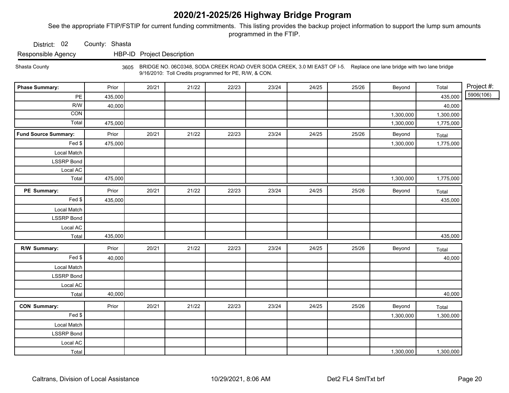See the appropriate FTIP/FSTIP for current funding commitments. This listing provides the backup project information to support the lump sum amounts programmed in the FTIP.

District: 02 County: Shasta

Responsible Agency HBP-ID Project Description

Shasta County 3605 BRIDGE NO. 06C0348, SODA CREEK ROAD OVER SODA CREEK, 3.0 MI EAST OF I-5. Replace one lane bridge with two lane bridge 9/16/2010: Toll Credits programmed for PE, R/W, & CON.

| <b>Phase Summary:</b>       | Prior   | 20/21 | 21/22 | 22/23 | 23/24 | 24/25 | 25/26 | Beyond    | Total     | Project #: |
|-----------------------------|---------|-------|-------|-------|-------|-------|-------|-----------|-----------|------------|
| $PE$                        | 435,000 |       |       |       |       |       |       |           | 435,000   | 5906(106)  |
| R/W                         | 40,000  |       |       |       |       |       |       |           | 40,000    |            |
| <b>CON</b>                  |         |       |       |       |       |       |       | 1,300,000 | 1,300,000 |            |
| Total                       | 475,000 |       |       |       |       |       |       | 1,300,000 | 1,775,000 |            |
| <b>Fund Source Summary:</b> | Prior   | 20/21 | 21/22 | 22/23 | 23/24 | 24/25 | 25/26 | Beyond    | Total     |            |
| Fed                         | 475,000 |       |       |       |       |       |       | 1,300,000 | 1,775,000 |            |
| Local Match                 |         |       |       |       |       |       |       |           |           |            |
| <b>LSSRP Bond</b>           |         |       |       |       |       |       |       |           |           |            |
| Local AC                    |         |       |       |       |       |       |       |           |           |            |
| Total                       | 475,000 |       |       |       |       |       |       | 1,300,000 | 1,775,000 |            |
| PE Summary:                 | Prior   | 20/21 | 21/22 | 22/23 | 23/24 | 24/25 | 25/26 | Beyond    | Total     |            |
| Fed \$                      | 435,000 |       |       |       |       |       |       |           | 435,000   |            |
| Local Match                 |         |       |       |       |       |       |       |           |           |            |
| <b>LSSRP Bond</b>           |         |       |       |       |       |       |       |           |           |            |
| Local AC                    |         |       |       |       |       |       |       |           |           |            |
| Total                       | 435,000 |       |       |       |       |       |       |           | 435,000   |            |
| R/W Summary:                | Prior   | 20/21 | 21/22 | 22/23 | 23/24 | 24/25 | 25/26 | Beyond    | Total     |            |
| Fed \$                      | 40,000  |       |       |       |       |       |       |           | 40,000    |            |
| Local Match                 |         |       |       |       |       |       |       |           |           |            |
| LSSRP Bond                  |         |       |       |       |       |       |       |           |           |            |
| Local AC                    |         |       |       |       |       |       |       |           |           |            |
| Total                       | 40,000  |       |       |       |       |       |       |           | 40,000    |            |
| <b>CON Summary:</b>         | Prior   | 20/21 | 21/22 | 22/23 | 23/24 | 24/25 | 25/26 | Beyond    | Total     |            |
| Fed                         |         |       |       |       |       |       |       | 1,300,000 | 1,300,000 |            |
| Local Match                 |         |       |       |       |       |       |       |           |           |            |
| <b>LSSRP Bond</b>           |         |       |       |       |       |       |       |           |           |            |
| Local AC                    |         |       |       |       |       |       |       |           |           |            |
| Total                       |         |       |       |       |       |       |       | 1,300,000 | 1,300,000 |            |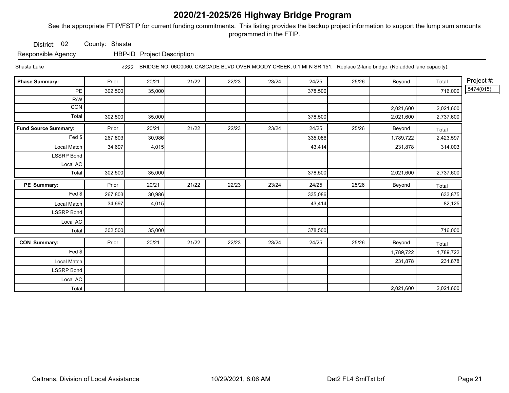See the appropriate FTIP/FSTIP for current funding commitments. This listing provides the backup project information to support the lump sum amounts programmed in the FTIP.

District: 02 County: Shasta

Responsible Agency HBP-ID Project Description

Shasta Lake 4222 BRIDGE NO. 06C0060, CASCADE BLVD OVER MOODY CREEK, 0.1 MI N SR 151. Replace 2-lane bridge. (No added lane capacity).

| <b>Phase Summary:</b>       | Prior   | 20/21  | 21/22 | 22/23 | 23/24 | 24/25   | 25/26 | Beyond    | Total     | Project #: |
|-----------------------------|---------|--------|-------|-------|-------|---------|-------|-----------|-----------|------------|
| PE                          | 302,500 | 35,000 |       |       |       | 378,500 |       |           | 716,000   | 5474(015)  |
| R/W                         |         |        |       |       |       |         |       |           |           |            |
| CON                         |         |        |       |       |       |         |       | 2,021,600 | 2,021,600 |            |
| Total                       | 302,500 | 35,000 |       |       |       | 378,500 |       | 2,021,600 | 2,737,600 |            |
| <b>Fund Source Summary:</b> | Prior   | 20/21  | 21/22 | 22/23 | 23/24 | 24/25   | 25/26 | Beyond    | Total     |            |
| Fed \$                      | 267,803 | 30,986 |       |       |       | 335,086 |       | 1,789,722 | 2,423,597 |            |
| Local Match                 | 34,697  | 4,015  |       |       |       | 43,414  |       | 231,878   | 314,003   |            |
| <b>LSSRP Bond</b>           |         |        |       |       |       |         |       |           |           |            |
| Local AC                    |         |        |       |       |       |         |       |           |           |            |
| Total                       | 302,500 | 35,000 |       |       |       | 378,500 |       | 2,021,600 | 2,737,600 |            |
| PE Summary:                 | Prior   | 20/21  | 21/22 | 22/23 | 23/24 | 24/25   | 25/26 | Beyond    | Total     |            |
| Fed \$                      | 267,803 | 30,986 |       |       |       | 335,086 |       |           | 633,875   |            |
| Local Match                 | 34,697  | 4,015  |       |       |       | 43,414  |       |           | 82,125    |            |
| <b>LSSRP Bond</b>           |         |        |       |       |       |         |       |           |           |            |
| Local AC                    |         |        |       |       |       |         |       |           |           |            |
| Total                       | 302,500 | 35,000 |       |       |       | 378,500 |       |           | 716,000   |            |
| <b>CON Summary:</b>         | Prior   | 20/21  | 21/22 | 22/23 | 23/24 | 24/25   | 25/26 | Beyond    | Total     |            |
| Fed \$                      |         |        |       |       |       |         |       | 1,789,722 | 1,789,722 |            |
| Local Match                 |         |        |       |       |       |         |       | 231,878   | 231,878   |            |
| <b>LSSRP Bond</b>           |         |        |       |       |       |         |       |           |           |            |
| Local AC                    |         |        |       |       |       |         |       |           |           |            |
| Total                       |         |        |       |       |       |         |       | 2,021,600 | 2,021,600 |            |